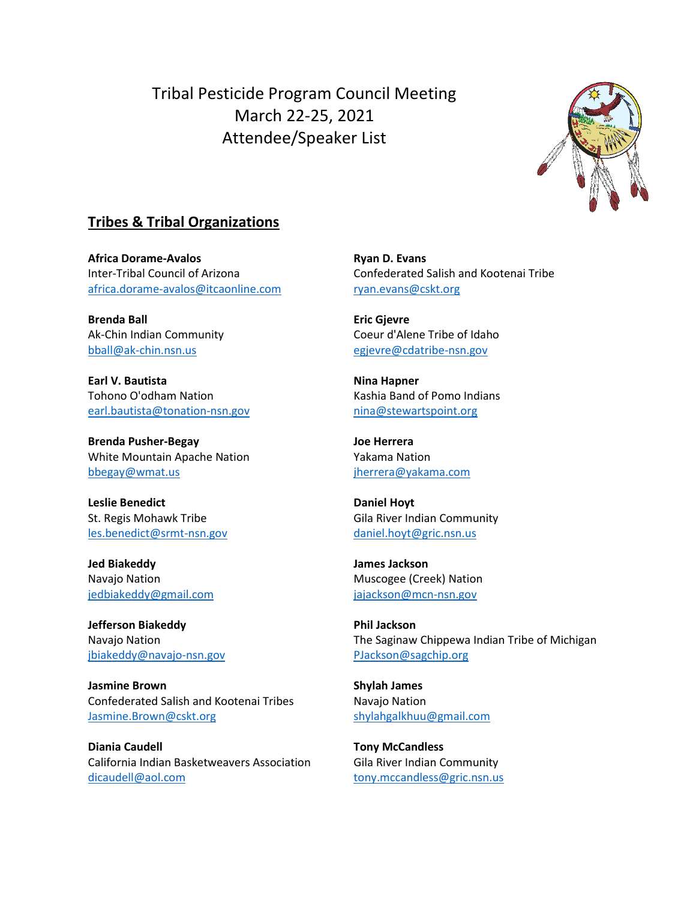Tribal Pesticide Program Council Meeting March 22-25, 2021 Attendee/Speaker List



# **Tribes & Tribal Organizations**

**Africa Dorame-Avalos** Inter-Tribal Council of Arizona [africa.dorame-avalos@itcaonline.com](mailto:africa.dorame-avalos@itcaonline.com)

**Brenda Ball** Ak-Chin Indian Community [bball@ak-chin.nsn.us](mailto:bball@ak-chin.nsn.us)

**Earl V. Bautista** Tohono O'odham Nation [earl.bautista@tonation-nsn.gov](mailto:earl.bautista@tonation-nsn.gov)

**Brenda Pusher-Begay** White Mountain Apache Nation [bbegay@wmat.us](mailto:bbegay@wmat.us)

**Leslie Benedict** St. Regis Mohawk Tribe [les.benedict@srmt-nsn.gov](mailto:les.benedict@srmt-nsn.gov)

**Jed Biakeddy** Navajo Nation [jedbiakeddy@gmail.com](mailto:jedbiakeddy@gmail.com)

**Jefferson Biakeddy** Navajo Nation [jbiakeddy@navajo-nsn.gov](mailto:jbiakeddy@navajo-nsn.gov)

**Jasmine Brown** Confederated Salish and Kootenai Tribes [Jasmine.Brown@cskt.org](mailto:Jasmine.Brown@cskt.org)

**Diania Caudell** California Indian Basketweavers Association [dicaudell@aol.com](mailto:dicaudell@aol.com)

**Ryan D. Evans** Confederated Salish and Kootenai Tribe [ryan.evans@cskt.org](mailto:ryan.evans@cskt.org)

**Eric Gjevre** Coeur d'Alene Tribe of Idaho [egjevre@cdatribe-nsn.gov](mailto:egjevre@cdatribe-nsn.gov)

**Nina Hapner** Kashia Band of Pomo Indians [nina@stewartspoint.org](mailto:nina@stewartspoint.org)

**Joe Herrera** Yakama Nation [jherrera@yakama.com](mailto:jherrera@yakama.com)

**Daniel Hoyt** Gila River Indian Community [daniel.hoyt@gric.nsn.us](mailto:daniel.hoyt@gric.nsn.us)

**James Jackson** Muscogee (Creek) Nation [jajackson@mcn-nsn.gov](mailto:jajackson@mcn-nsn.gov)

**Phil Jackson** The Saginaw Chippewa Indian Tribe of Michigan [PJackson@sagchip.org](mailto:PJackson@sagchip.org)

**Shylah James** Navajo Nation [shylahgalkhuu@gmail.com](mailto:shylahgalkhuu@gmail.com)

**Tony McCandless** Gila River Indian Community [tony.mccandless@gric.nsn.us](mailto:tony.mccandless@gric.nsn.us)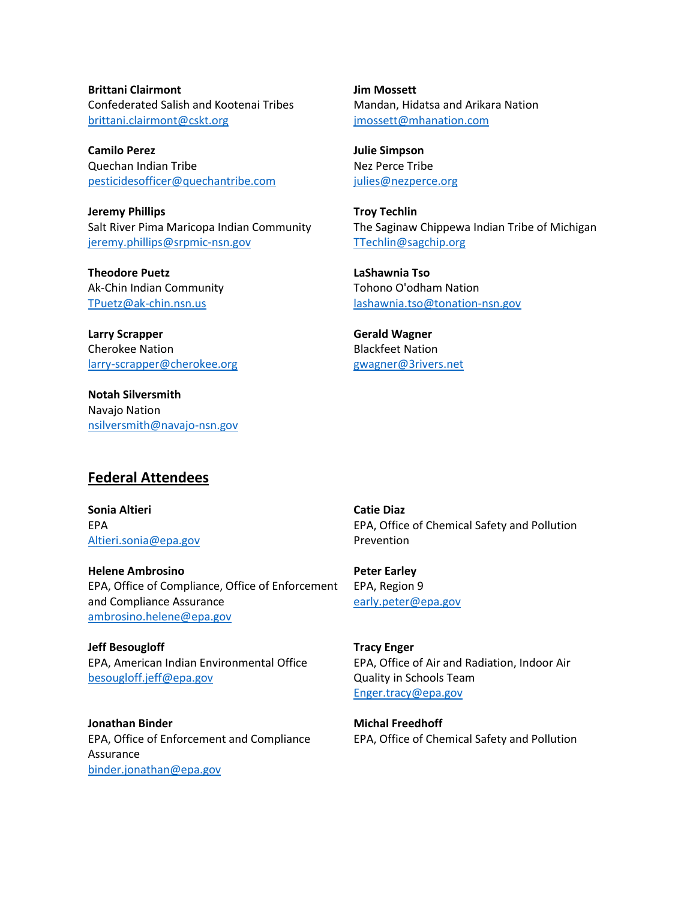**Brittani Clairmont** Confederated Salish and Kootenai Tribes [brittani.clairmont@cskt.org](mailto:brittani.clairmont@cskt.org)

**Camilo Perez** Quechan Indian Tribe [pesticidesofficer@quechantribe.com](mailto:pesticidesofficer@quechantribe.com)

**Jeremy Phillips** Salt River Pima Maricopa Indian Community [jeremy.phillips@srpmic-nsn.gov](mailto:jeremy.phillips@srpmic-nsn.gov)

**Theodore Puetz** Ak-Chin Indian Community [TPuetz@ak-chin.nsn.us](mailto:TPuetz@ak-chin.nsn.us)

**Larry Scrapper** Cherokee Nation [larry-scrapper@cherokee.org](mailto:larry-scrapper@cherokee.org)

**Notah Silversmith** Navajo Nation [nsilversmith@navajo-nsn.gov](mailto:nsilversmith@navajo-nsn.gov) **Jim Mossett** Mandan, Hidatsa and Arikara Nation [jmossett@mhanation.com](mailto:jmossett@mhanation.com)

**Julie Simpson** Nez Perce Tribe [julies@nezperce.org](mailto:julies@nezperce.org)

**Troy Techlin** The Saginaw Chippewa Indian Tribe of Michigan [TTechlin@sagchip.org](mailto:TTechlin@sagchip.org)

**LaShawnia Tso** Tohono O'odham Nation [lashawnia.tso@tonation-nsn.gov](mailto:lashawnia.tso@tonation-nsn.gov)

**Gerald Wagner** Blackfeet Nation [gwagner@3rivers.net](mailto:gwagner@3rivers.net)

### **Federal Attendees**

**Sonia Altieri** EPA [Altieri.sonia@epa.gov](mailto:Altieri.sonia@epa.gov)

**Helene Ambrosino** EPA, Office of Compliance, Office of Enforcement and Compliance Assurance [ambrosino.helene@epa.gov](mailto:ambrosino.helene@epa.gov)

**Jeff Besougloff** EPA, American Indian Environmental Office [besougloff.jeff@epa.gov](mailto:besougloff.jeff@epa.gov)

**Jonathan Binder** EPA, Office of Enforcement and Compliance Assurance [binder.jonathan@epa.gov](mailto:binder.jonathan@epa.gov)

**Catie Diaz** EPA, Office of Chemical Safety and Pollution Prevention

**Peter Earley** EPA, Region 9 [early.peter@epa.gov](mailto:early.peter@epa.gov)

**Tracy Enger** EPA, Office of Air and Radiation, Indoor Air Quality in Schools Team [Enger.tracy@epa.gov](mailto:Enger.tracy@epa.gov)

**Michal Freedhoff** EPA, Office of Chemical Safety and Pollution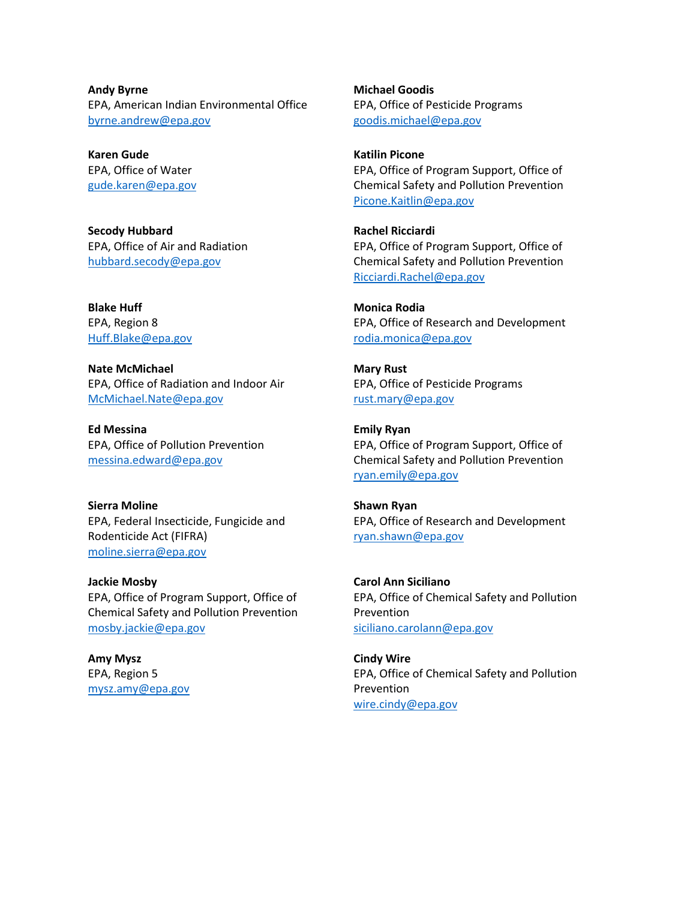**Andy Byrne** EPA, American Indian Environmental Office [byrne.andrew@epa.gov](mailto:byrne.andrew@epa.gov)

**Karen Gude** EPA, Office of Water [gude.karen@epa.gov](mailto:gude.karen@epa.gov)

**Secody Hubbard** EPA, Office of Air and Radiation [hubbard.secody@epa.gov](mailto:hubbard.secody@epa.gov)

**Blake Huff** EPA, Region 8 [Huff.Blake@epa.gov](mailto:Huff.Blake@epa.gov)

**Nate McMichael** EPA, Office of Radiation and Indoor Air [McMichael.Nate@epa.gov](mailto:McMichael.Nate@epa.gov)

**Ed Messina** EPA, Office of Pollution Prevention [messina.edward@epa.gov](mailto:messina.edward@epa.gov)

**Sierra Moline** EPA, Federal Insecticide, Fungicide and Rodenticide Act (FIFRA) [moline.sierra@epa.gov](mailto:moline.sierra@epa.gov)

**Jackie Mosby** EPA, Office of Program Support, Office of Chemical Safety and Pollution Prevention [mosby.jackie@epa.gov](mailto:mosby.jackie@epa.gov)

**Amy Mysz** EPA, Region 5 [mysz.amy@epa.gov](mailto:mysz.amy@epa.gov) **Michael Goodis** EPA, Office of Pesticide Programs [goodis.michael@epa.gov](mailto:goodis.michael@epa.gov)

**Katilin Picone** EPA, Office of Program Support, Office of Chemical Safety and Pollution Prevention [Picone.Kaitlin@epa.gov](mailto:Picone.Kaitlin@epa.gov)

**Rachel Ricciardi** EPA, Office of Program Support, Office of Chemical Safety and Pollution Prevention [Ricciardi.Rachel@epa.gov](mailto:Ricciardi.Rachel@epa.gov)

**Monica Rodia** EPA, Office of Research and Development [rodia.monica@epa.gov](mailto:rodia.monica@epa.gov)

**Mary Rust** EPA, Office of Pesticide Programs [rust.mary@epa.gov](mailto:rust.mary@epa.gov)

**Emily Ryan** EPA, Office of Program Support, Office of Chemical Safety and Pollution Prevention [ryan.emily@epa.gov](mailto:ryan.emily@epa.gov)

**Shawn Ryan** EPA, Office of Research and Development [ryan.shawn@epa.gov](mailto:ryan.shawn@epa.gov)

**Carol Ann Siciliano** EPA, Office of Chemical Safety and Pollution Prevention [siciliano.carolann@epa.gov](mailto:siciliano.carolann@epa.gov)

**Cindy Wire** EPA, Office of Chemical Safety and Pollution Prevention [wire.cindy@epa.gov](mailto:wire.cindy@epa.gov)